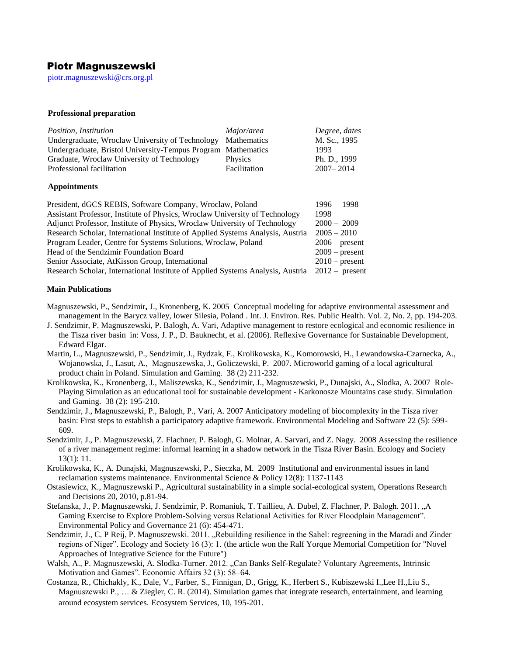# Piotr Magnuszewski

[piotr.magnuszewski@crs.org.pl](mailto:piotr.magnuszewski@crs.org.pl)

## **Professional preparation**

| Position, Institution                                        | Major/area     | Degree, dates |
|--------------------------------------------------------------|----------------|---------------|
| Undergraduate, Wroclaw University of Technology              | Mathematics    | M. Sc., 1995  |
| Undergraduate, Bristol University-Tempus Program Mathematics |                | 1993          |
| Graduate, Wroclaw University of Technology                   | <b>Physics</b> | Ph. D., 1999  |
| Professional facilitation                                    | Facilitation   | $2007 - 2014$ |

## **Appointments**

| President, dGCS REBIS, Software Company, Wroclaw, Poland                       | $1996 - 1998$    |
|--------------------------------------------------------------------------------|------------------|
| Assistant Professor, Institute of Physics, Wroclaw University of Technology    | 1998             |
| Adjunct Professor, Institute of Physics, Wroclaw University of Technology      | $2000 - 2009$    |
| Research Scholar, International Institute of Applied Systems Analysis, Austria | $2005 - 2010$    |
| Program Leader, Centre for Systems Solutions, Wroclaw, Poland                  | $2006$ – present |
| Head of the Sendzimir Foundation Board                                         | $2009$ – present |
| Senior Associate, AtKisson Group, International                                | $2010$ – present |
| Research Scholar, International Institute of Applied Systems Analysis, Austria | $2012 -$ present |

# **Main Publications**

- Magnuszewski, P., Sendzimir**,** J., Kronenberg, K. 2005 Conceptual modeling for adaptive environmental assessment and management in the Barycz valley, lower Silesia, Poland . Int. J. Environ. Res. Public Health. Vol. 2, No. 2, pp. 194-203.
- J. Sendzimir, P. Magnuszewski, P. Balogh, A. Vari, Adaptive management to restore ecological and economic resilience in the Tisza river basin in: Voss, J. P., D. Bauknecht, et al. (2006). Reflexive Governance for Sustainable Development, Edward Elgar.
- Martin, L., Magnuszewski, P., Sendzimir, J., Rydzak, F., Krolikowska, K., Komorowski, H., Lewandowska-Czarnecka, A., Wojanowska, J., Lasut, A., Magnuszewska, J., Goliczewski, P. 2007. Microworld gaming of a local agricultural product chain in Poland. Simulation and Gaming. 38 (2) 211-232.
- Krolikowska, K., Kronenberg, J., Maliszewska, K., Sendzimir, J., Magnuszewski, P., Dunajski, A., Slodka, A. 2007 Role-Playing Simulation as an educational tool for sustainable development - Karkonosze Mountains case study. Simulation and Gaming. 38 (2): 195-210.
- Sendzimir, J., Magnuszewski, P., Balogh, P., Vari, A. 2007 Anticipatory modeling of biocomplexity in the Tisza river basin: First steps to establish a participatory adaptive framework. Environmental Modeling and Software 22 (5): 599- 609.
- Sendzimir, J., P. Magnuszewski, Z. Flachner, P. Balogh, G. Molnar, A. Sarvari, and Z. Nagy. 2008 Assessing the resilience of a river management regime: informal learning in a shadow network in the Tisza River Basin. Ecology and Society 13(1): 11.
- Krolikowska, K., A. Dunajski, Magnuszewski, P., Sieczka, M. 2009 Institutional and environmental issues in land reclamation systems maintenance. Environmental Science & Policy 12(8): 1137-1143
- Ostasiewicz, K., Magnuszewski P., Agricultural sustainability in a simple social-ecological system, Operations Research and Decisions 20, 2010, p.81-94.
- Stefanska, J., P. Magnuszewski, J. Sendzimir, P. Romaniuk, T. Taillieu, A. Dubel, Z. Flachner, P. Balogh. 2011. "A Gaming Exercise to Explore Problem-Solving versus Relational Activities for River Floodplain Management". Environmental Policy and Governance 21 (6): 454-471.
- Sendzimir, J., C. P Reij, P. Magnuszewski. 2011. "Rebuilding resilience in the Sahel: regreening in the Maradi and Zinder regions of Niger". Ecology and Society 16 (3): 1. (the article won the Ralf Yorque Memorial Competition for "Novel Approaches of Integrative Science for the Future")
- Walsh, A., P. Magnuszewski, A. Slodka-Turner. 2012. "Can Banks Self-Regulate? Voluntary Agreements, Intrinsic Motivation and Games". Economic Affairs 32 (3): 58–64.
- Costanza, R., Chichakly, K., Dale, V., Farber, S., Finnigan, D., Grigg, K., Herbert S., Kubiszewski I.,Lee H.,Liu S., Magnuszewski P., ... & Ziegler, C. R. (2014). Simulation games that integrate research, entertainment, and learning around ecosystem services. Ecosystem Services, 10, 195-201.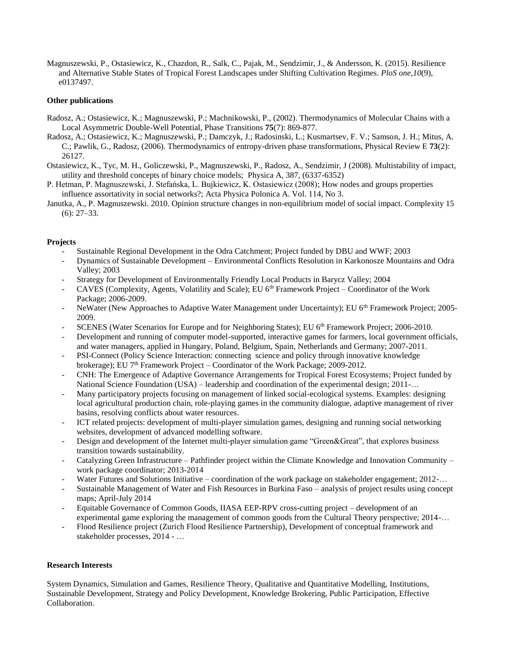Magnuszewski, P., Ostasiewicz, K., Chazdon, R., Salk, C., Pajak, M., Sendzimir, J., & Andersson, K. (2015). Resilience and Alternative Stable States of Tropical Forest Landscapes under Shifting Cultivation Regimes. *PloS one*,*10*(9), e0137497.

# **Other publications**

- Radosz, A.; Ostasiewicz, K.; Magnuszewski, P.; Machnikowski, P., (2002). Thermodynamics of Molecular Chains with a Local Asymmetric Double-Well Potential, Phase Transitions **75**(7): 869-877.
- Radosz, A.; Ostasiewicz, K.; Magnuszewski, P.; Damczyk, J.; Radosinski, L.; Kusmartsev, F. V.; Samson, J. H.; Mitus, A. C.; Pawlik, G., Radosz, (2006). Thermodynamics of entropy-driven phase transformations, Physical Review E **73**(2): 26127.
- Ostasiewicz, K., Tyc, M. H., Goliczewski, P., Magnuszewski, P., Radosz, A., Sendzimir, J (2008). Multistability of impact, utility and threshold concepts of binary choice models; Physica A, 387, (6337-6352)
- P. Hetman, P. Magnuszewski, J. Stefańska, L. Bujkiewicz, K. Ostasiewicz (2008); How nodes and groups properties influence assortativity in social networks?; Acta Physica Polonica A. Vol. 114, No 3.
- Janutka, A., P. Magnuszewski. 2010. Opinion structure changes in non-equilibrium model of social impact. Complexity 15  $(6)$ : 27–33.

# **Projects**

- Sustainable Regional Development in the Odra Catchment; Project funded by DBU and WWF; 2003
- Dynamics of Sustainable Development Environmental Conflicts Resolution in Karkonosze Mountains and Odra Valley; 2003
- Strategy for Development of Environmentally Friendly Local Products in Barycz Valley; 2004
- CAVES (Complexity, Agents, Volatility and Scale); EU 6th Framework Project Coordinator of the Work Package; 2006-2009.
- NeWater (New Approaches to Adaptive Water Management under Uncertainty); EU 6<sup>th</sup> Framework Project; 2005-2009.
- SCENES (Water Scenarios for Europe and for Neighboring States); EU 6<sup>th</sup> Framework Project; 2006-2010.
- Development and running of computer model-supported, interactive games for farmers, local government officials, and water managers, applied in Hungary, Poland, Belgium, Spain, Netherlands and Germany; 2007-2011.
- PSI-Connect (Policy Science Interaction: connecting science and policy through innovative knowledge brokerage); EU 7<sup>th</sup> Framework Project – Coordinator of the Work Package; 2009-2012.
- CNH: The Emergence of Adaptive Governance Arrangements for Tropical Forest Ecosystems; Project funded by National Science Foundation (USA) – leadership and coordination of the experimental design; 2011-…
- Many participatory projects focusing on management of linked social-ecological systems. Examples: designing local agricultural production chain, role-playing games in the community dialogue, adaptive management of river basins, resolving conflicts about water resources.
- ICT related projects: development of multi-player simulation games, designing and running social networking websites, development of advanced modelling software.
- Design and development of the Internet multi-player simulation game "Green&Great", that explores business transition towards sustainability.
- Catalyzing Green Infrastructure Pathfinder project within the Climate Knowledge and Innovation Community work package coordinator; 2013-2014
- Water Futures and Solutions Initiative coordination of the work package on stakeholder engagement; 2012-...
- Sustainable Management of Water and Fish Resources in Burkina Faso analysis of project results using concept maps; April-July 2014
- Equitable Governance of Common Goods, IIASA EEP-RPV cross-cutting project development of an experimental game exploring the management of common goods from the Cultural Theory perspective; 2014-…
- Flood Resilience project (Zurich Flood Resilience Partnership), Development of conceptual framework and stakeholder processes, 2014 - …

## **Research Interests**

System Dynamics, Simulation and Games, Resilience Theory, Qualitative and Quantitative Modelling, Institutions, Sustainable Development, Strategy and Policy Development, Knowledge Brokering, Public Participation, Effective Collaboration.